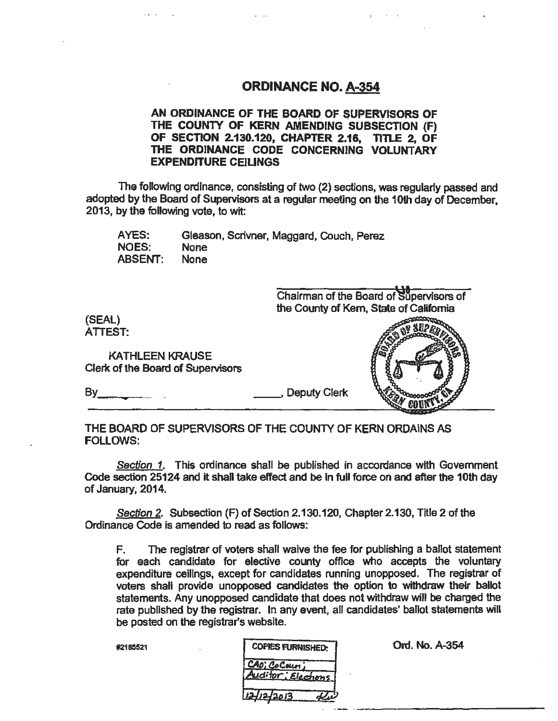### ORDINANCE NO. A-354

 $\blacksquare$ 

#### AN ORDINANCE OF THE BOARD OF SUPERVISORS OF THE COUNTY OF KERN AMENDING SUBSECTION (F) OF SECTION 2.130.120, CHAPTER 2.16, TITLE 2, OF THE ORDINANCE CODE CONCERNING VOLUNTARY EXPENDITURE CEILINGS

The following ordinance, consisting of two (2) sections, was regularly passed and adopted by the Board of Supervisors at a regular meeting on the 10th day of December, 2013, by the following vote, to wit:

AYES: NOES: ABSENT: Gleason. Scrivner, Maggard, Couch, Perez None None



THE BOARD OF SUPERVISORS OF THE COUNTY OF KERN ORDAINS AS FOLLOWS:

Section 1. This ordinance shall be published in accordance with Government Code section 25124 and it shall take effect and be in full force on and after the 10th day of January, 2014.

Section 2. Subsection (F) of Section 2.130.120, Chapter 2.130, Title 2 of the Ordinance Code is amended to read as follows:

F. The registrar of voters shall waive the fee for publishing a ballot statement for each candidate for elective county office who accepts the voluntary expenditure ceilings, except for candidates running unopposed. The registrar of voters shall provide unopposed candidates the option to withdraw their ballot statements. Any unopposed candidate that does not withdraw will be charged the rate published by the registrar. In any event, all candidates' ballot statements will be posted on the registrar's website.

| #2185521 | <b>COPIES FURNISHED:</b>           | Ord. No. A-354 |
|----------|------------------------------------|----------------|
|          | CAD; CoCoun;<br>Auditor; Elections |                |
|          | 12/12/2013                         |                |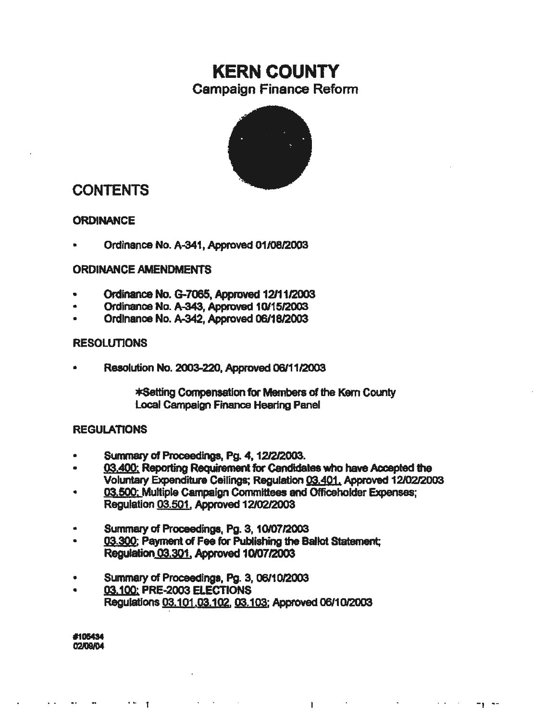# KERN COUNTY Campaign Finance Reform



## CONTENTS

#### **ORDINANCE**

Ordinance No. A-341, Approved 01/08/2003

#### ORDINANCE AMENDMENTS

- Ordinance No. G-7065, Approved 12111/2003
- Ordinance No. A-343, Approved 1011512003
- Ordinance No. A-342, Approved 06/1812003

#### **RESOLUTIONS**

• Resolution No. 2003-220, Approved 06111l2003

\*Setting Compensation for Members of the Kem County Local Campaign Finance Hearing Panel

#### **REGULATIONS**

- Summary Of Proceedings, Pg. 4. 1212/2003.
- 03.400: Reporting Requirement for Candidates who have Accepted the Voluntafy Expenditure Ceilings; Regulation 03,401. Approved 12/02/2003

 $\mathbf{L}$ 

 $\sim 100$  km s  $^{-1}$ 

 $\Delta \sim 40$ 

 $-\gamma$   $-$ 

- 03,500: Multiple Campaign Committees and Officeholder Expenses; Regulation 03.5Q1. Approved 12/02/2003
- Summary of Proceedings, Pg. 3, 10/07/2003
- 03.300; Payment of Fee for Publishing the Ballot Statement; Regulation 03.301. Approved 10/07/2003
- Summary of Proceedings, Pg. 3, 06/10/2003
- 03.100: PRE·2003 ELECTIONS Regulations 03.101 .03.102. 03.103: Approved 06/10/2003

#105434 02IOQ/04

 $\mathbf{r}$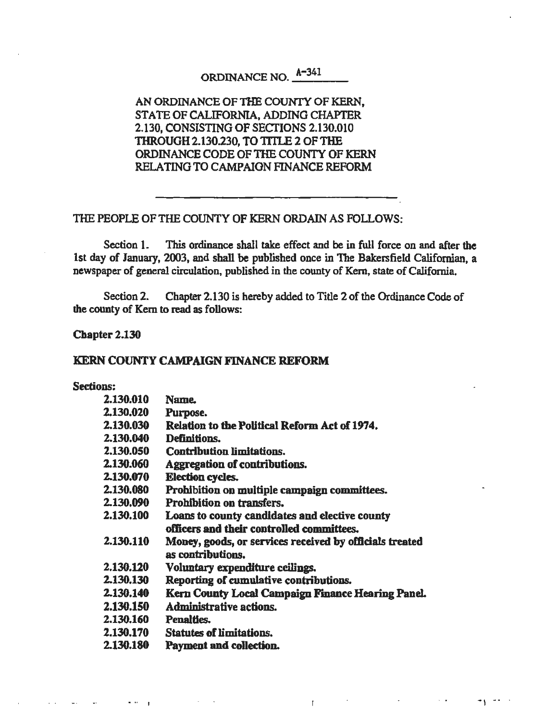# ORDINANCE NO. A-34t

#### AN ORDINANCE OF THE COUNfY OF KERN, STATE OF CALIFORNIA, ADDING CHAPTER 2.130, CONSISTING OF SECTIONS 2.130.010 THROUGH 2.130.230, TO TITLE 2 OF THE ORDINANCE CODE OF THE COUNTY OF KERN RELATING TO CAMPAION FINANCE REFORM

#### THE PEOPLE OF THE COUNTY OF KERN ORDAIN AS FOLLOWS:

Section 1. This ordinance shall take effect and be in full force on and after the 1st day of January, 2003, and shall be published once in The Bakersfield Californian, a newspaper of general circulation, published in the county of Kern, state of California.

Section 2. Chapter 2.130 is hereby added to Title 2 of the Ordinance Code of the county of Kem to read as follows:

Chapter 2.130

• ., I

#### KERN COUNTY CAMPAIGN FINANCE REFORM

#### Sections:

| 2.130.010        | <b>Name.</b>                                                                 |
|------------------|------------------------------------------------------------------------------|
| 2.130.020        | Purpose.                                                                     |
| 2.130.030        | Relation to the Political Reform Act of 1974.                                |
| 2.130.040        | <b>Definitions.</b>                                                          |
| 2.130.050        | <b>Contribution limitations.</b>                                             |
| 2.130.060        | Aggregation of contributions.                                                |
| 2.130.070        | <b>Election cycles.</b>                                                      |
| 2.130.080        | Prohibition on multiple campaign committees.                                 |
| 2.130.090        | Prohibition on transfers.                                                    |
| 2.130.100        | Loans to county candidates and elective county                               |
|                  | officers and their controlled committees.                                    |
| 2.130.110        | Money, goods, or services received by officials treated<br>as contributions. |
| <b>2.130.120</b> | Voluntary expenditure ceilings.                                              |
| 2.130.130        | Reporting of cumulative contributions.                                       |
| 2.130.140        | Kern County Local Campaign Finance Hearing Panel.                            |
| 2.130.150        | Administrative actions.                                                      |
| 2.130.160        | <b>Penalties.</b>                                                            |
| 2.130.170        | <b>Statutes of limitations.</b>                                              |
| 2.130.180        | <b>Payment and collection.</b>                                               |
|                  |                                                                              |

 $\mathbf{f}$ 

 $\sim$   $\sim$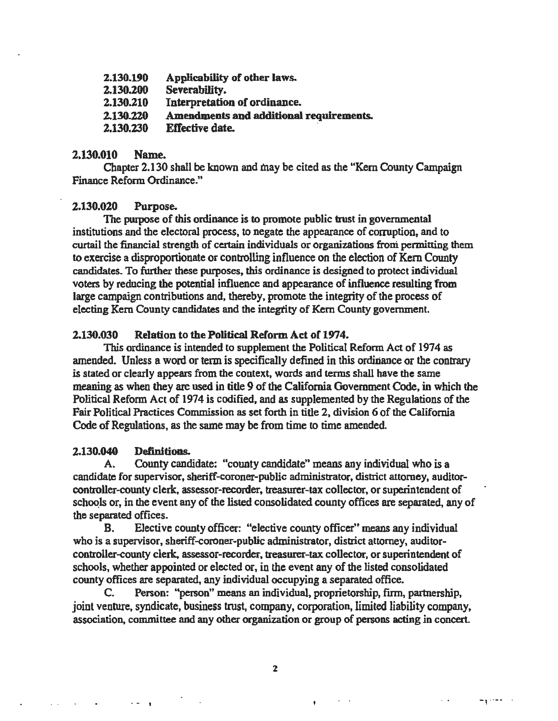| 2.130.190 | Applicability of other laws.            |
|-----------|-----------------------------------------|
| 2.130.200 | Severability.                           |
| 2.130.210 | Interpretation of ordinance.            |
| 2.130.220 | Amendments and additional requirements. |
| 2.130.230 | Effective date.                         |

#### 2.130.010 Name.

Chapter 2.130 shall be known and tnay be cited as the "Kem County Campaign Finance Reform Ordinance."

#### 2.130.020 Purpose.

The purpose of this ordinance is to promote public trust in governmental institutions and the electoral process, to negate the appearance of corruption, and to curtail the financial strength of certain individuals or organizations froni permitting them to exercise a disproportionate or controlling influence on the election of Kern County candidates. To further these purposes, this ordinance is designed to protect individual voters by reducing the potential influence and appearance of influence resulting from large campaign contributions and, thereby, promote the integrity of the process of electing Kem County candidates and the integrity of Kem County government.

#### 2.130.030 Relation to the Political Reform Act of 1974.

This ordinance is intended to supplement the Political Reform Act of 1974 as amended. Unless a word or term is specifically defined in this ordinance or the contrary is stated or clearly appears from the context, words and terms shall have the same meaning as when they are used in title 9 of the California Government Code, in which the Political Reform Act of 1974 is codified, and as supplemented by the Regulations of the Fair Political Practices Commission as set forth in title 2, division 6 of the California Code of Regulations, as the same may be from time to time amended.

#### 2.130.040 Deftnltions.

 $\sim 10$ 

A. County candidate: "county candidate'' means any individual who is a candidate for supervisor, sheriff-coroner-public administrator, district attorney, auditorcontroller-county clerk, assessor-recorder, treasurer-tax collector, or superintendent of schools or, in the event any of the listed consolidated county offices are separated, any of the separated offices.

B. Elective county officer: "elective county officer" means any individual who is a supervisor, sheriff-coroner-public administrator, district attorney, auditorcontroller-county clerk, assessor-recorder, treasurer-tax collector, or superintendent of schools, whether appointed or elected or, in the event any of the listed consolidated county offices are separated, any individual occupying a separated office.

C. Person: "person" means an individual, proprietorship, firm, partnership, joint venture, syndicate, business trust, company, corporation, limited liability company, association, committee and any other organization or group of persons acting in concert

.<br>• المستوسم المراجع المراجع المراجع المراجع المراجع المراجع المراجع المراجع المراجع المراجع المراجع المراجع الم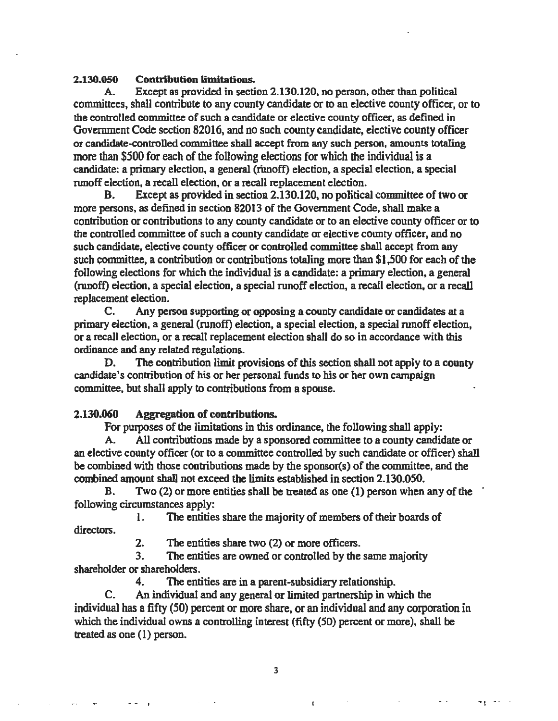#### 2.130.0SO Contribution limitations.

A. Except as provided in section 2.130.120, no person, other than political committees. shall contribute to any county candidate or to an elective county officer. or to the controlled committee of such a candidate or elective county officer, as defined in Government Code section 82016, and no such county candidate, elective county officer or candidate-controlled committee shall accept from any such person, amounts totaling more than \$500 for each of the following elections for which the individual is a candidate: a primary election, a general (rimoff) election, a special election, a special runoff election, a recall election, or a recall replacement election.<br>B. Except as provided in section 2.130.120, no political

Except as provided in section 2.130.120, no political committee of two or more persons, as defined in section 82013 of the Government Code, shall make a contribution or contributions to any county candidate or to an elective county officer or to the controlled committee of such a county candidate or elective county officer, and no such candidate, elective county officer or controlled committee shall accept from any such committee, a contribution or contributions totaling more than \$1,500 for each of the following elections for which the individual is a candidate: a primary election, a general (runoff) election, a special election, a special runoff election, a recall election, or a recall replacement election.

C. Any person supporting or opposing a county candidate or candidates at a primary election, a general (runoff) election, a special election, a special runoff election, or a recall election, or a recalJ replacement election shall do so in accordance with this ordinance and any related regulations.

D. The contribution limit provisions of this section shall not apply to a county candidate's contribution of his or her personal funds to his or her own campaign committee, but shall apply to contributions from a spouse.

#### 2.130.060 Aggregation of contributions.

For pwposes of the limitations in this ordinance, the following shall apply:

A. All contributions made by a sponsored committee to a county candidate or an elective county officer (or to a committee controlled by such candidate or officer) shall be combined with those contributions made by the sponsor(s) of the committee, and the combined amount shall not exceed the limits established in section 2.130.050.

B. Two (2) or more entities shall be treated as one (1) person when any of the following circumstances apply:

1. The entities share the majority of members of their boards of directors.

2. The entities share two (2) or more officers.

3. The entities are owned or controlled by the same majority shareholder or shareholders.

4. The entities are in a parent-subsidiary relationship.

C. An individual and any general or limited partnership in which the individual has a fifty (50) percent or more share, or an individual and any corporation in which the individual owns a controlling interest (fifty (50) percent or more), shall be treated as one (1) person.

3

، المساوس العامل العامل العامل العامل العامل العامل التي تعامل العامل العامل العامل العامل التي والسما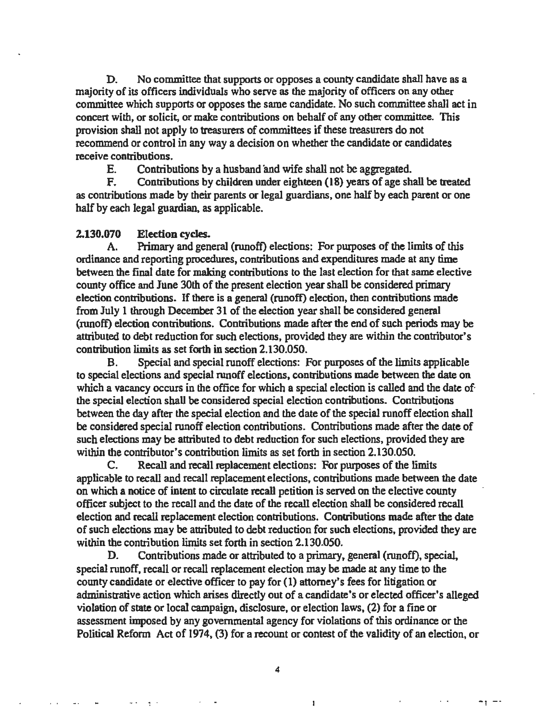D. No committee that supports or opposes a county candidate shall have as a majority of its officers individuals who serve as the majority of officers on any other committee which supports or opposes the same candidate. No such committee shall act in concert with, or solicit, or make contributions on behalf of any other committee. This provision shall not apply to treasurers of committees if these treasurers do not recommend or control in any way a decision on whether the candidate or candidates receive contributions.

E. Contributions by a husband and wife shall not be aggregated.

F. Contributions by children under eighteen (18) years of age shall be treated as contributions made by their parents or legal guardians, one half by each parent or one half by each legal guardian, as applicable.

#### 2.130.070 Election cycles.

 $\mathcal{A}^{(1)}$ 

A. Primary and general (runoff) elections: For purposes of the limits of this ordinance and reporting procedures, contributions and expenditures made at any time between the final date for making contributions to the last election for that same elective county office and June 30th of the present election year shall be considered primary election contributions. If there is a general (runoff) election, then contributions made from July 1 through December 31 of the election year shall be considered general (runoff) election contributions. Contributions made after the end of such periods may be attributed to debt reduction for such elections, provided they are within the contributor's contribution limits as set forth in section 2.130.050.

B. Special and special runoff elections: For purposes of the limits applicable to special elections and special runoff elections, contributions made between the date on which a vacancy occurs in the office for which a special election is called and the date of the special election shall be considered special election contributions. Contributions between the day after the special election and the date of the special runoff election shall be considered special runoff election contributions. Contributions made after the date of . such elections may be attributed to debt reduction for such elections, provided they are within the contributor's contribution limits as set forth in section 2.130.050.

C. Recall and recall replacement elections: For pwposes of the limits applicable to recall and recall replacement elections, contributions made between the date on which a notice of intent to circulate recall petition is served on the elective county officer subject to the recall and the date of the recall election shall be considered recall election and recall replacement election contributions. Contributions made after the date of such elections may be attributed to debt reduction for such elections, provided they are within the contribution limits set forth in section 2.130.050.

D. Contributions made or attributed to a primary, general (runoff), special, special runoff. recall or recall replacement election may be made at any time to the county candidate or elective officer to pay for (1) attorney's fees for litigation or administrative action which arises directly out of a candidate's or elected officer's alleged violation of state or local campaign, disclosure, or election laws, (2) for a fine or assessment imposed by any governmental agency for violations of this ordinance or the Political Reform Act of 1974, (3) for a recount or contest of the validity of an election, or

4

 $\mathbf{I}$ 

 $-1 - 1$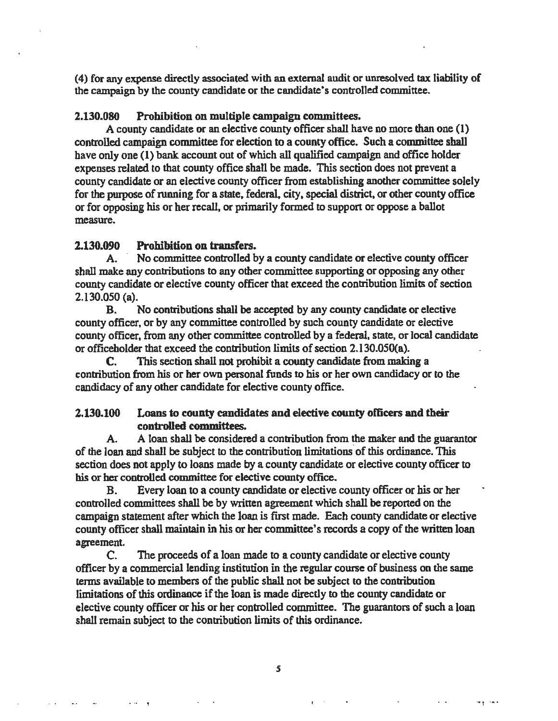(4) for any expense directly associated with an external audit or unresolved tax liability of the campaign by the county candidate or the candidate"s controlled committee.

#### 2.130.080 Prohibition on multiple campaign committees.

A county candidate or an elective county officer shall have no more than one (1) controlled campaign committee for election to a county office. Such a committee shall have only one (1) bank account out of which all qualified campaign and office holder expenses related to that county office shall be made. This section does not prevent a county candidate or an elective county officer from establishing another committee solely for the purpose of running for a state, federal, city, special district, or other county office or for opposing his or her recall, or primarily formed to support or oppose a ballot measure.

#### 2.130.090 Prohibition on transfers.

A. No committee controlled by a county candidate or elective county officer shall make any contributions to any other committee supporting or opposing any other county candidate or elective county officer that exceed the contribution limits of section 2.130.050 (a).

B. No contributions shall be accepted by any county candidate or elective county officer, or by any committee controlled by such county candidate or elective county officer, from any other committee controlled by a federal, state, or local candidate or officeholder that exceed the contribution limits of section 2.130.0SO(a).

C. This section shall not prohibit a county candidate from making a contribution from his or her own personal funds to his or her own candidacy or to the candidacy of any other candidate for elective county office.

#### 2.130.100 Loans to county candidates and elective county officers and their controlled committees.

A. A loan shall be considered a contribution from the maker and the guarantor of the loan and shall be subject to the contribution limitations· of this ordinance. This section does not apply to loans made by a county candidate or elective county officer to his or her controlled committee for elective county office.

B. Every loan to a county candidate or elective county officer or his or her controlled committees shall be by written agreement which shall be reported on the campaign statement after which the loan is first made. Each county candidate or elective county officer shall maintain in his or her committee's records a copy of the written loan agreement.

C. The proceeds of a loan made to a county candidate or elective county officer by a commercial lending institution in the regular course of business on the same tenns available to members of the public shall not be subject to the contribution limitations of this ordinance if the loan is made directly to the county candidate or elective county officer or his or her controlled committee. The guarantors of such a loan shall remain subject to the contribution limits of this ordinance.

*s* 

العملية التي تعالى المناطق التي تعالى التي تعالى التي تعالى التي تعالى التي تعالى التي تعالى التي تعالى التي ت<br>العملية التي تعالى المناطق التي تعالى التي تعالى التي تعالى التي تعالى التي تعالى التي تعالى التي تعالى التي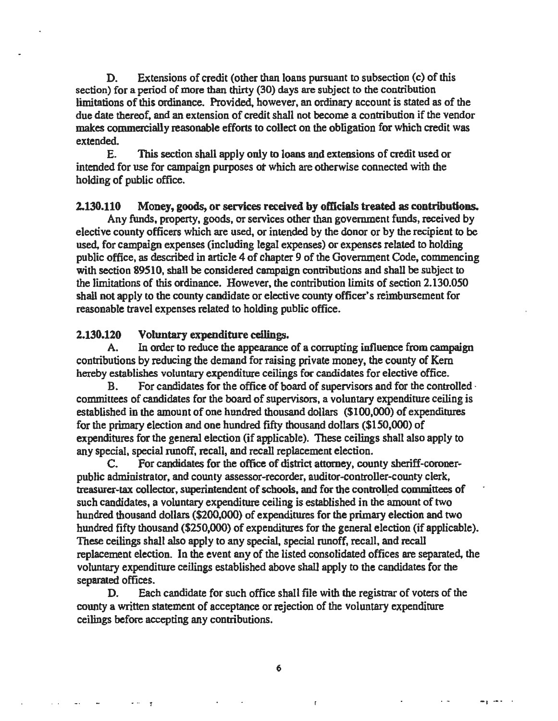D. Extensions of credit (other than loans pursuant to subsection (c) of this section) for a period of more than thirty (30) days are subject to the contribution limitations of this ordinance. Provided. however, an ordinary account is stated as of the due date thereof, and an extension of credit shall not become a contribution if the vendor makes commercially reasonable efforts to collect on the obligation for which credit was extended.

E. This section shall apply only to loans and extensions of credit used or intended for use for campaign purposes ot which are otherwise connected with the holding of public office.

#### 2.130.110 Money, goods, or services received by officials treated as contributions.

Any funds, property, goods, or services other than government funds, received by elective county officers which are used, or intended by the donor or by the recipient to be used. for campaign expenses (including legal expenses) or expenses related to holding public office, as described in article 4 of chapter 9 of the Government Code, commencing with section 89510, shall be considered campaign contributions and shall be subject to the limitations of this ordinance. However, the contribution limits of section 2.130.050 shall not apply to the county candidate or elective county officer's reimbursement for reasonable travel expenses related to holding public office.

#### 2.130.120 Voluntary expenditure ceilings.

 $\sim 10$ 

A. In order to reduce the appearance of a corrupting influence from campaign contributions by reducing the demand for raising private money, the county of Kem hereby establishes voluntary expenditure ceilings for candidates for elective office.

B. For candidates for the office of board of supervisors and for the controlled  $\cdot$ committees of candidates for the board of supervisors, a voluntary expenditure ceiling is established in the amount of one hundred thousand dollars (\$100,000) of expenditures for the primary election and one hundred fifty thousand dollars (\$150,000) of expenditures for the general election (if applicable). These ceilings shall also apply to any special, special runoff, recall, and recall replacement election.

C. For candidates for the office of district attorney, county sheriff-coronerpublic administrator, and county assessor-recorder, auditor-controller-county clerk, treasurer-tax collector, superintendent of schools, and for the controlled committees of such candidates, a voluntary expenditure ceiling is established in the amount of two hundred thousand doJlars (\$200,000) of expenditures for the primary election and two hundred fifty thousand (\$250,000) of expenditures for the general election (if applicable). These ceilings shall also apply to any special, special runoff, recall, and recall replacement election. In the event any of the listed consolidated offices are separated. the voluntary expenditure ceilings established above shall apply to the candidates for the separated offices.

D. Each candidate for such office shall file with the registrar of voters of the county a written statement of acceptance or rejection of the voluntary expenditure ceilings before accepting any contributions.

6

الم الجميع هذا الله عليه الله عليه الله عليه الله عليه الله عليه الله المستقل التي تتم التي تتم التي تتم الله ا<br>المستقل المستقل الله عليه الله الله عليه الله عليه الله عليه الله عليه الله عليه الله عليه الله عليه الله علي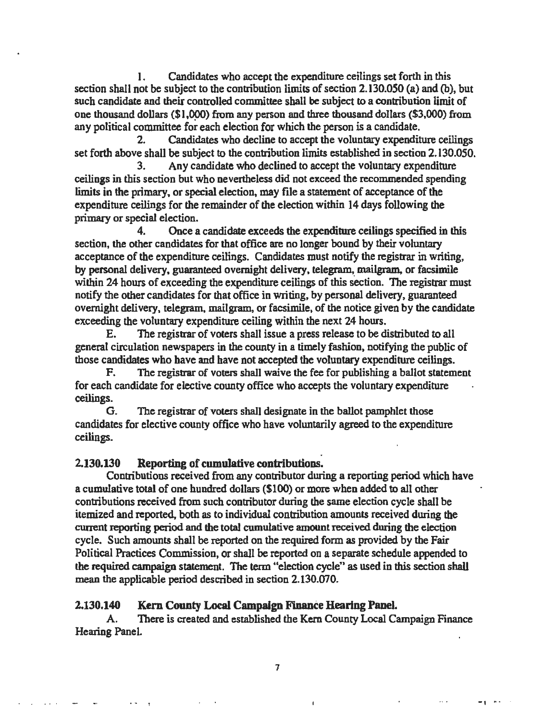1. Candidates who accept the expenditure ceilings set forth in this section shall not be subject to the contribution limits of section 2.130.050 (a) and (b), but such candidate and their controlled committee shall be subject to a contribution limit of one thousand dollars (\$1,000) from any person and three thousand dollars (\$3,000) from any political committee for each election for which the person is a candidate.

2. Candidates who decline to accept the voluntary expenditure ceilings set forth above shall be subject to the contribution limits established in section 2.130.050.<br>  $3.$  Any candidate who declined to accept the voluntary expenditure

Any candidate who declined to accept the voluntary expenditure ceilings in this section but who nevertheless did not exceed the recommended spending limits in the primary, or special election, may file a statement of acceptance of the expenditure ceilings for the remainder of the election within 14 days following the primary or special election.

4. Once a candidate exceeds the expenditure ceilings specified in this section, the other candidates for that office are no longer bound by their voluntary acceptance of the expenditure ceilings. Candidates must notify the registrar in writing, by personal delivery, guaranteed overnight delivery, telegram, mailgram., or facsimile within 24 hours of exceeding the expenditure ceilings of this section. The registrar must notify the other candidates for that office in writing, by personal delivery, guaranteed overnight delivery, telegram, mailgram, or facsimile, of the notice given by the candidate exceeding the voluntary expenditure ceiling within the next 24 hours.

E. The registrar of voters shall issue a press release to be distributed to all general circulation newspapers in the county in a timely fashion, notifying the public of those candidates who have and have not accepted the voluntary expenditure ceilings.

F. The registrar of voters shall waive the fee for publishing a ballot statement for each candidate for elective county office who accepts the voluntary expenditure ceilings.

G. The registrar of voters shall designate in the ballot pamphlet those candidates for elective county office who have voluntarily agreed to the expenditure ceilings.

#### . 2.130.130 Reporting of cumuJative contributions.

Contributions received from any contributor during a reporting period which have a cumulative total of one hundred dollars (\$100) or more when added to all other contributions received from such contributor during the same election cycle shall be itemized and reported, both as to individual contribution amounts received during the current reporting period and the total cumulative amount received during the election cycle. Such amounts shall be reported on the required form as provided by the Fair Political Practices Commission, or shall be reported on a separate schedule appended to the required campaign statement. The term "election cycle" as used in this section shall mean the applicable period described in section 2.130.070.

#### 2.130.140 Kem County Local Campaign Finance Hearing Panel.

A. There is created and established the Kem County Local Campaign Finance Hearing Panel.

- let us a set of the set of the set of the set of the set of the set of the set of the set of the set of the set of the set of the set of the set of the set of the set of the set of the set of the set of the set of the s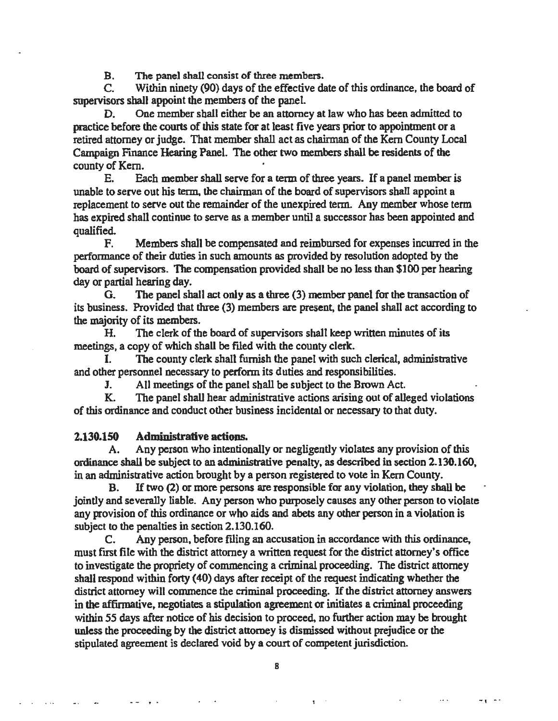B. The panel shall consist of three members.

C. Within ninety (90) days of the effective date of this ordinance, the board of supervisors shall appoint the members of the panel.

D. One member shall either be an attorney at law who has been admitted to practice before the courts of this state for at least five years prior to appointment or a retired attorney or judge. That member shall act as chairman of the Kem County Local Campaign Finance Hearing Panel. The other two members shall be residents of the county of Kem.

E. Each member shall serve for a term of three years. If a panel member is unable to serve out his term. the chairman of the board of supervisors shall appoint a replacement to serve out the remainder of the unexpired term. Any member whose term has expired shall continue to serve as a member until a successor has been appointed and qualified.

F. Members shall be compensated and reimbursed for expenses incurred in the performance of their duties in such amounts as provided by resolution adopted by the board of supervisors. The compensation provided shall be no less than \$100 per hearing day or partial hearing day.

G. The panel shall act only as a three (3) member panel for the transaction of its business. Provided that three (3) members are present, the panel shall act according to the majority of its members.

H. The clerk of the board of supervisors shall keep written minutes of its meetings, a copy of which shall be filed with the county clerk.

The county clerk shall furnish the panel with such clerical, administrative and other personnel necessary to perform its duties and responsibilities.

J. All meetings of the panel shall be subject to the Brown Act.

K. The panel shall hear administrative actions arising out of alleged violations of this ordinance and conduct other business incidental or necessary to that duty.

#### 2.130.150 Administrative actions.

A. Any person who intentionally or negligently violates any provision of *this*  ordinance shall be subject to an administrative penalty, as described in section 2.130.160, in an administrative action brought by a person registered to vote in Kem County.

B. If two (2) or more persons are responsible for any violation, they shall be jointly and severally liable. Any person who purposely causes any other person to violate any provision of this ordinance or who aids and abets any other person in a violation is subject to the penalties in section 2.130.160.

C. Any person, before filing an accusation in accordance with this ordinance, must first file with the district attorney a written request for the district attorney's office to investigate the propriety of commencing a criminal proceeding. The district attorney shall respond within forty (40) days after receipt of the request indicating whether the district attorney will commence the criminal proceeding. If the district attorney answers in the affirmative, negotiates a stipulation agreement or initiates a criminal proceeding within *55* days after notice of his decision to proceed, no further action may be brought unless the proceeding by the district attorney is dismissed without prejudice or the stipulated agreement is declared void by a court of competent jurisdiction.

8

 $-1$ 

 $-$  . (a)  $\frac{1}{2}$  ,  $\frac{1}{2}$  ,  $\frac{1}{2}$  ,  $\frac{1}{2}$  ,  $\frac{1}{2}$  ,  $\frac{1}{2}$  ,  $\frac{1}{2}$  ,  $\frac{1}{2}$  ,  $\frac{1}{2}$  ,  $\frac{1}{2}$  ,  $\frac{1}{2}$  ,  $\frac{1}{2}$  ,  $\frac{1}{2}$  ,  $\frac{1}{2}$  ,  $\frac{1}{2}$  ,  $\frac{1}{2}$  ,  $\frac{1}{2}$  ,  $\frac{1}{2$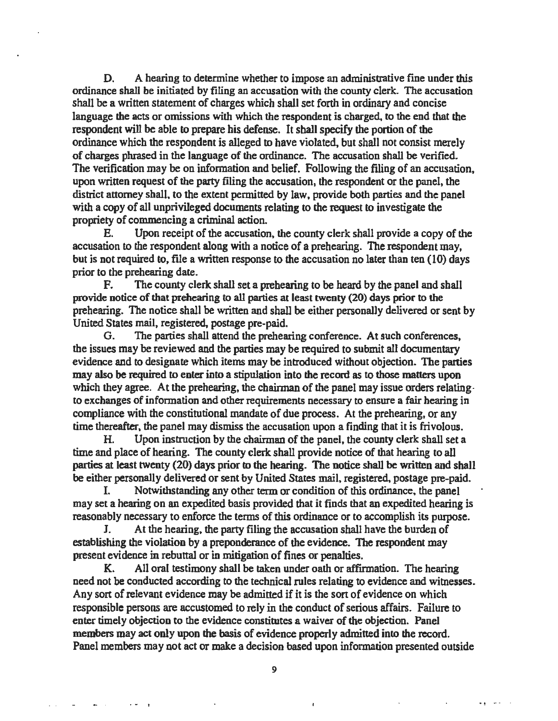D. A hearing to determine whether to impose an administrative fine under this ordinance shall be initiated by filing an accusation with the county clerk. The accusation shall be a written statement of charges which shall set forth in ordinary and concise language the acts or omissions with which the respondent is charged. to the end that the respondent will be able to prepare his defense. It shall specify the portion of the ordinance which the respondent is alleged to have violated, but shall not consist merely of charges phrased in the language of the ordinance. The accusation shall be verified. The verification may be on information and belief. Following the filing of an accusation, upon written request of the party filing the accusation, the respondent or the panel, the district attorney shall, to the extent permitted by law, provide both parties and the panel with a copy of all unprivileged documents relating to the request to investigate the propriety of commencing a criminal action.

E. Upon receipt of the accusation. the county clerk shall provide a copy of the accusation to the respondent along with a notice of a prehearing. The respondent may, but is not required to, file a written response to the accusation no later than ten (10) days prior to the prehearing date.

F. The county clerk shall set a prehearing to be heard by the panel and shall provide notice of that prehearing to all parties at least twenty (20) days prior to the prehearing. The notice shall be written and shall be either personally delivered or sent by United States mail, registered, postage pre-paid.

G. The parties shall attend the prehearing conference. At such conferences, the issues may be reviewed and the parties may be required to submit all documentary evidence and to designate which items may be introduced without objection. The parties may also be required to enter into a stipulation into the record as to those matters upon which they agree. At the prehearing, the chairman of the panel may issue orders relatingto exchanges of information and other requirements necessary to ensure a fair hearing in compliance with the constitutional mandate of due process. At the prehearing, or any time thereafter, the panel may dismiss the accusation upon a finding that it is frivolous.

H. Upon instruction by the chairman of the panel, the county clerk shall set a time and place of hearing. The county clerk shall provide notice of that hearing to all parties at least twenty (20} days prior to the hearing. The notice shall be written and shall be either personally delivered or sent by United States mail. registered, postage pre-paid.

Notwithstanding any other term or condition of this ordinance, the panel may set a hearing on an expedited basis provided that it finds that an expedited hearing is reasonably necessary to enforce the terms of this ordinance or to accomplish its purpose.

J. At the hearing. the party filing the accusation shall have the burden of establishing the violation by a preponderance of the evidence. The respondent may present evidence in rebuttal or in mitigation of fines or penalties.

K. All oral testimony shall be taken under oath or affirmation. The hearing need not be conducted according to the technical rules relating to evidence and witnesses. Any sort of relevant evidence may be admitted if it is the sort of evidence on which responsible persons are accustomed to rely in the conduct of serious affairs. Failure to enter timely objection to the evidence constitutes a waiver of the objection. Panel members may act only upon the basis of evidence properly admitted into the record. Panel members may not act or make a decision based upon information presented outside

 $\omega_{\rm eff} = \omega_{\rm eff}$ 

 $\cdots$ 

**ALCOHOL**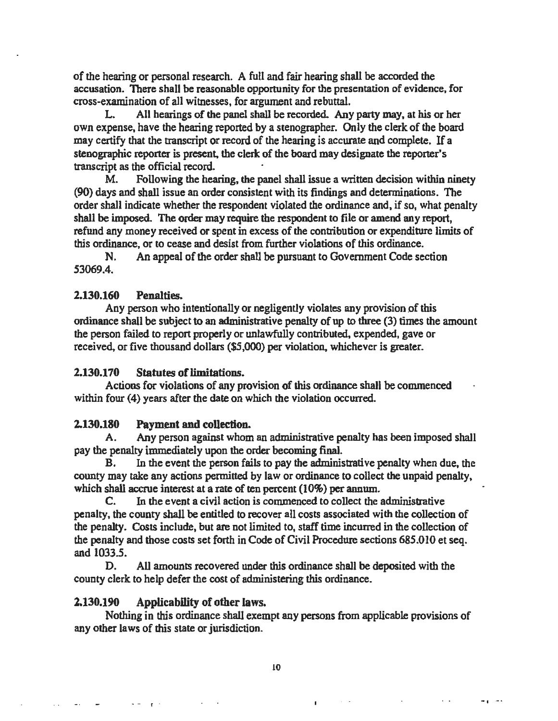of the hearing or personal research. A full and fair hearing shall be accorded the accusation. There shall be reasonable opportunity for the presentation of evidence, for cross-examination of all witnesses, for argument and rebuttal.

L. All hearings of the panel shall be recorded. Any party may, at his or her own expense, have the hearing reported by a stenographer. Only the clerk of the board may certify that the transcript or record of the hearing is accurate and complete. If a stenographic reporter is present. the clerk of the board may designate the reporter's transcript as the official record.

M. Following the hearing, the panel shall issue a written decision within ninety (90) days and shall issue an order consistent with its findings and determinations. The order shall indicate whether the respondent violated the ordinance and, if so, what penalty shall be imposed. The order may require the respondent to file or amend any report, refund any money received or spent in excess of the contribution or expenditure limits of this ordinance, or to cease and desist from further violations of this ordinance.

N. An appeal of the order shall be pursuant to Government Code section 53069.4.

#### 2.130.160 Penalties.

Any person who intentionally or negligently violates any provision of this ordinance shall be subject to an administrative penalty of up to three (3) times the amount the person failed to report properly or unlawfully contributed, expended, gave or received, or five thousand dollars (\$5,000) per violation, whichever is greater.

#### 2.130.170 Statutes of limitations.

Actions for violations of any provision of this ordinance shall be commenced within four (4) years after the date on which the violation occurred.

#### 2.130.180 Payment and collection.

A. Any person against whom an administrative penalty has been imposed shall pay the penalty immediately upon the order becoming final.

B. In the event the person fails to pay the administrative penalty when due, the county may take any actions permitted by law or ordinance to collect the unpaid penalty, which shall accrue interest at a rate of ten percent (10%) per annum.

C. In the event a civil action is commenced to collect the administrative penalty, the county shall be entitled to recover all costs associated with the collection of the penalty. Costs include, but are not limited to, staff time incurred in the collection of the penalty and those costs set forth in Code of Civil Procedure sections 685.010 et seq. and 1033.5.

D. All amounts recovered under this ordinance shall be deposited with the county clerk to help defer the cost of administering this ordinance.

#### 2.130.190 Applicability of other laws.

 $\rightarrow$ 

Nothing in this ordinance shall exempt any persons from applicable provisions of any other laws of this state or jurisdiction.

.<br>• المساور المساور المساور المساور المساور المساور المساور المساور المساور المساور المساور المساور المساور المس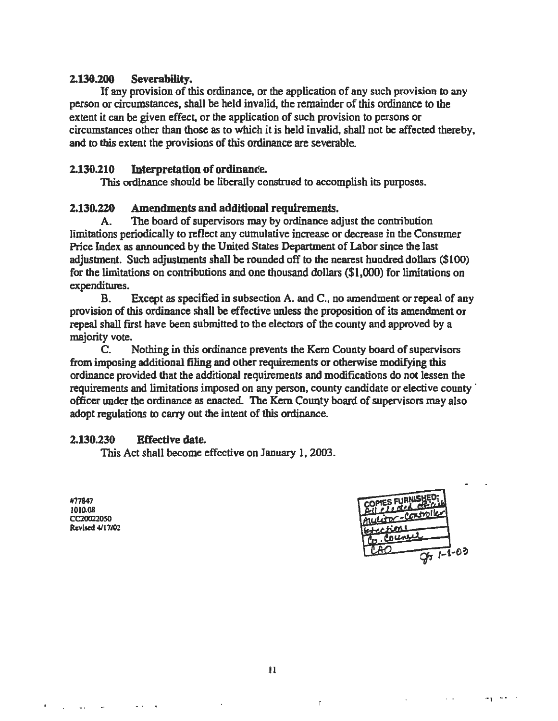#### 2.130.200 Severability.

If any provision of this ordinance. or the application of any such provision to any person or circumstances, shall be held invalid, the remainder of this ordinance to the extent it can be given effect, or the application of such provision to persons or circumstances other than those as to which it is held invalid. shall not be affected thereby, and to this extent the provisions of this ordinance are severable.

### 2.130.210 Interpretation of ordinance.

This ordinance should be liberally construed to accomplish its purposes.

#### 2.130.220 Amendments and additional requirements.

A. The board of supervisors may by ordinance adjust the contribution limitations periodically to reflect any cumulative increase or decrease in the Consumer Price Index as announced by the United States Department of Labor since the last adjustment. Such adjustments shall be rounded off to the nearest hundred dollars (\$100) for the limitations on contributions and one thousand dollars (\$1 ,000) for limitations on expenditures.

B. Except as specified in subsection A. and C., no amendment or repeal of any provision of this ordinance shall be effective unless the proposition of its amendment or repeal shall first have been submitted to the electors of the county and approved by a majority vote.

C. Nothing in this ordinance prevents the Kem County board of supervisors from imposing additional filing and other requirements or otherwise modifying this ordinance provided that the additional requirements and modifications do not lessen the requirements and limitations imposed on any person, county candidate or elective county  $\dot{\phantom{a}}$ officer under the ordinance as enacted. The Kem County board of supervisors may also adopt regulations to carry out the intent of this ordinance.

#### 2.130.230 Effective date.

This Act shall become effective on January l, 2003.

#77847 JOI0.08 CC200220SO Revised 4/J7J02

 $\mathcal{L}_{\mathcal{A}}$ 

 $\ddot{\phantom{a}}$ 



•• 1 . .

 $\mathbf{f}$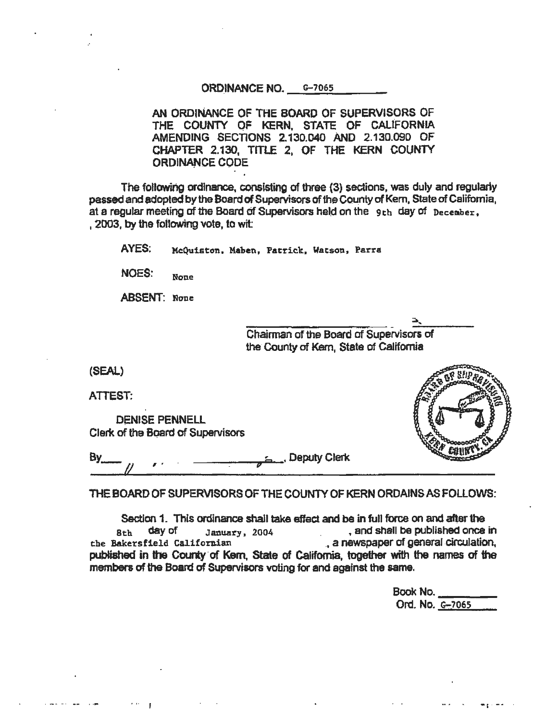ORDINANCE NO. 6-7065

AN ORDINANCE OF THE BOARD OF SUPERVISORS OF THE COUNTY OF KERN, STATE OF CALiFORNIA AMENDING SECTIONS 2.130.040 AND 2.130.090 OF CHAPTER 2.130, TITLE 2, OF THE KERN COUNTY ORDINANCE CODE

The following ordinance, consisting of three (3) sections, was duly and regularly passed and adopted by the Board of Supervisors of the County of Kem, State of California, at a regular meeting of the Board of Supervisors held on the 9th day of December. , 2003, by the foilowing vote, to wit

AYES: McQuiston, Maben, Patrick, Watson, Parra

NOES: None

ABSENT: None

~' --- ~--- ~- Ch airman of the Board of Supervisors of the County of Kem, State of California

(SEAL)

ATTEST:

DENISE PENNELL Clerk of the Board of Supervisors

.,, .,

By , , , , , , , , , , , Deputy Clerk -  $\frac{1}{2}$ 

THE BOARD OF SUPERVISORS OF THE COUNTY OF KERN ORDAINS AS FOLLOWS:

Section 1. This ordinance shall take effect and be in full force on and after the sth day of January, 2004 , and shall be published once in the Bakersfield Californian ... a newspaper of general circulation, published in the County of Kem, State of California, together with the names of the members of the Board of Supervisors voting for and against the same.

| Book No.        |  |
|-----------------|--|
|                 |  |
| Ord. No. 6-7065 |  |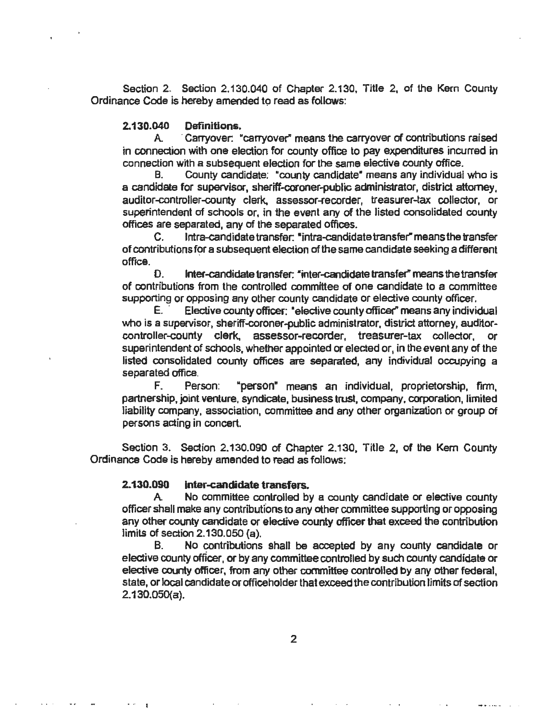Section 2. Section 2.130.040 of Chapter 2.130, Title 2, of the Kern County Ordinance Code is hereby amended to read as follows:

#### 2.130.040 Definitions.

A. ·Carryover: "carryover" means the carryover of contributions raised in connection with one election for county office to pay expenditures incurred in connection with a subsequent eledion for the same elective county Office.

B. County candidate: "county candidate" means any individual who is a candidate for supervisor, sheriff-coroner-public administrator, district attorney, auditor-controller-county clerk, assessor-recorder, treasurer-tax collector, or superintendent of schools or, in the event any of the listed consolidated county offices are separated, any of the separated offices.

C. lntra-candidate transfer: "intra-candidate transfer" means the transfer of contributions for a subsequent election of the same candidate seeking a different office.

D. Inter-candidate transfer: "inter-candidate transfer" means the transfer of contributions from the controlled committee of one candidate to a committee supporting or opposing any other county candidate or elective county officer.

E. · Elective county officer: •elective county officer" means any individual who is a supervisor, sheriff-coroner-public administrator, district attorney, auditorcontroller-county clerk, assessor-recorder, treasurer-tax collector, or superintendent of schools, whether appointed or elected or, in the event any of the listed consolidated county offices are separated, any individual occupying a separated office.

F. Person: "person• means an individual, proprietorship, firm, partnership, joint venture, syndicate, business trust, company, corporation, limited liability company, association, committee and any other organization or group of persons acting in concert.

Section 3. Section 2.130.090 of Chapter 2.130, Title 2, of the Kem County Ordinance Code is hereby amended to read as follows;

#### 2.130.090 inter-candidate transfers.

. - I

A No committee controlled by a county candidate or elective county officer shall make any contributions to any other committee supporting or opposing any other county candidate or elective county officer that exceed the contribution limits of section 2.130.050 (a).

B. No contributions shall be accepted by any county candidate or elective county officer, or by any committee controlled by such county candidate or elective county officer, from any other committee controlled by *any* other federal, state, or local candidate or officeholder that exceed the contribution limits of section 2.130.0SO(a).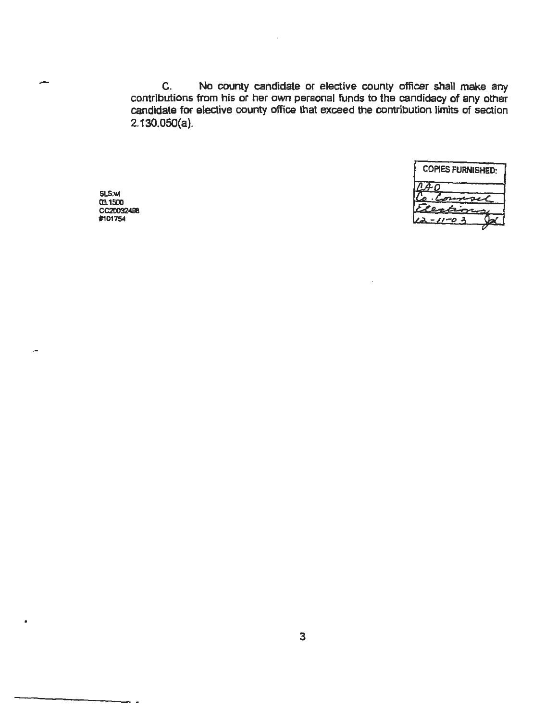C. No county candidate or elective county officer shall make any contributions from his or her own personal funds to the candidacy of any other candidate for elective county office that exceed the contribution limits of section 2.130.0SO(a).

> COPIES FURNISHED: set  $-11-0.3$

SLS:wt 03.1500 CC20032496<br>#101754

-

.-

 $\blacksquare$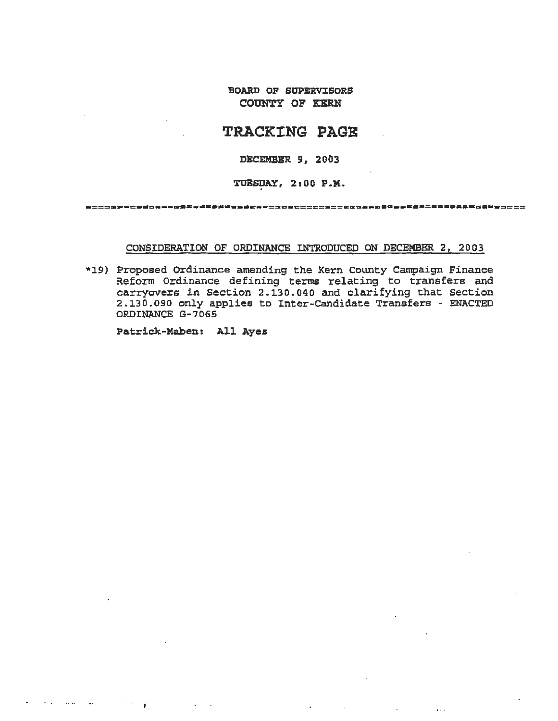**BOARD OF SUPERVISORS** COUNTY OF KERN

### **TRACKING PAGE**

#### DECEMBER 9, 2003

TUESDAY, 2:00 P.M.

#### CONSIDERATION OF ORDINANCE INTRODUCED ON DECEMBER 2, 2003

 $\mathbb{R}^2$ 

 $\ddot{\phantom{a}}$ 

\*19) Proposed Ordinance amending the Kern County Campaign Finance Reform Ordinance defining terms relating to transfers and carryovers in Section 2.130.040 and clarifying that Section 2.130.090 only applies to Inter-Candidate Transfers - ENACTED ORDINANCE G-7065

Patrick-Maben: All Ayes

 $\sim 10^{11}$  km  $^{-1}$  , and  $\sim 10^{11}$ 

 $\sim$  44  $\,$ 

and the pro-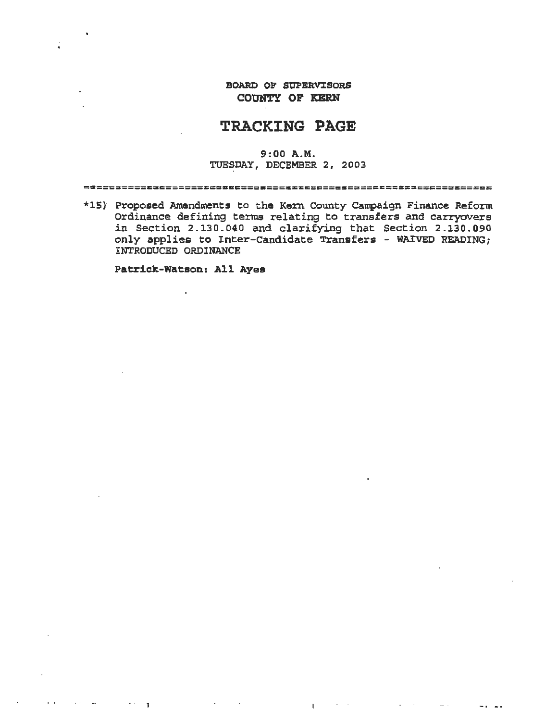BOARD OF SUPERVISORS COUNTY OF KERN

### TRACKING PAGE

#### 9: 00 A.M. TUESDAY, DECEMBER 2, 2003

==========c3ss========•a====•=== mc~=~===•~=====================

\*15) Proposed Amendments to the Kern County Campaign Finance Reform Ordinance defining terms relating to transfers and carryovers in Section 2. l30. 040 and clarifying that Section 2 .130. 090 only applies to Inter-Candidate Transfers - WAIVED READING; INTRODUCED ORDINANCE

Patrick-Watson: All Ayes

 $\mathbf{v}$  ,  $\mathbf{v} = \mathbf{v}$ 

 $\sim 10^{-1}$ 

 $\mathbf{I}$ 

 $\mathbf{r}^{\prime}$ 

 $\mathbf{L}$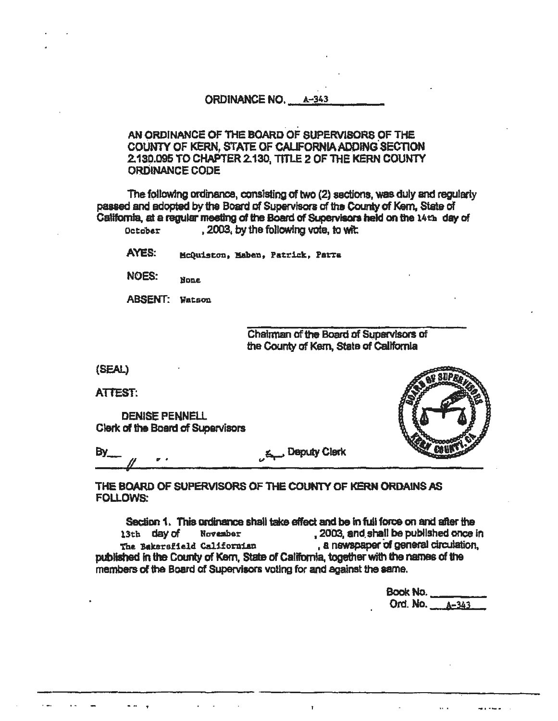ORDINANCE NO. A-343

AN ORDINANCE OF THE BOARD OF SUPERVISORS OF THE COUNTY OF KERN, STATE OF CALIFORNIA ADDING SECTION 2.130.095 TO CHAPTER 2.130, TITLE 2 OF THE KERN COUNTY **ORDINANCE CODE** 

The following ordinance, consisting of two (2) sections, was duly and regularly passed and adopted by the Board of Supervisors of the County of Kem. State of California, at a regular meeting of the Board of Supervisors held on the 14th day of . 2003, by the following vote, to wit. October

AYES: McQuiston, Maben, Patrick, Parra

NOES: **None** 

**ABSENT:** Watson

Chairman of the Board of Supervisors of the County of Kern, State of California

(SEAL)

**ATTEST:** 

**DENISE PENNELL** Clerk of the Board of Supervisors



**E.** Deputy Clerk **By** 

THE BOARD OF SUPERVISORS OF THE COUNTY OF KERN ORDAINS AS **FOLLOWS:** 

Section 1. This ordinance shall take effect and be in full force on and after the . 2003, and shall be published once in 13th day of November , a newspaper of general circulation, The Bakersfield Californian published in the County of Kern, State of California, together with the names of the members of the Board of Supervisors voting for and against the same.

| <b>Book No.</b> |                |
|-----------------|----------------|
|                 | Ord. No. 4-343 |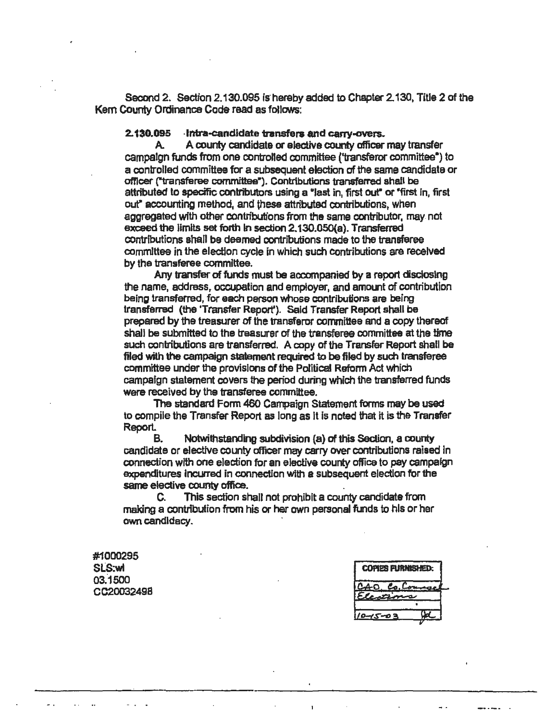Second 2. Section 2.130.095 is hereby added to Chapter 2.130, Title 2 of the Kem County Ordinance Code read as follows:

2.130.095 -Intra-candidate transfers and carry-overs.

A A county candidate or elective county officer may transfer campaign funds from one controlled committee ('transferor committee•) to a controlled committee for a subsequent election of the same candidate or omcer ("transferee committee•). Contributions transferred shall be attributed to specific contributors using a •1ast in, first our or •first in, first out" accounting method, and these attributed contributions, when aggregated with other contributions from the same contributor, may. not exceed the limits set forth in section 2.130.050(a). Transferred contributions shall be deemed contributions made to the transferee committee in the election cycle in which such contributions are received by the transferee committee.

Any transfer of funds must be accompanied by a report disclosing the name, address, occupation and emptoyer, and amount of contribution being transferred, for each person whose contributions are being transferred (the 'Transfer Report'). Said Transfer Report shall be prepared by the treasurer of the transferor committee and a copy thereof shall be submitted to the treasurer of the transferee committee at the time such contributions are transferred. A copy of the Transfer Report shall be filed with the campaign statement required to be filed by such transferee committee under the provisions of the Political Reform Act which campaign statement covers the period during which the transferred funds were received by the transferee committee.

The standard Fonn 460 Campaign Statement forms may be used to compile the Transfer Report as long as It is noted that it is the Transfer Report.

B. Notwithstanding subdivision {a) Of this Section, a county candidate or elective county officer may carry over contributions raised In connection with one election for an elective courty office to pay campaign expenditures incurred in connection with a subsequent election for the same elective county office.

C. This section shall not prohibit a county candidate from making a contribution from his or her own personal funds to his or her own candidacy. ·

#1000295 SLS:wl 03.1500 CC2003249B

| <b>COPIES FURNISHED:</b> |  |  |
|--------------------------|--|--|
| La.<br><u>من</u>         |  |  |
| $\mathbf{a}$             |  |  |
|                          |  |  |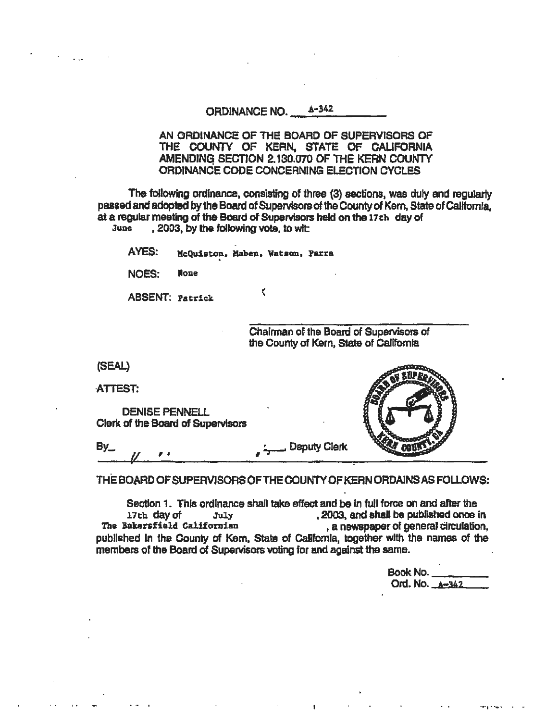#### ORDINANCE NO.  $A-342$

AN ORDINANCE OF THE BOARD OF SUPERVISORS OF THE COUNTY OF KERN, STATE OF CALIFORNIA AMENDING SECTION 2.130.070 OF THE KERN COUNTY ORDINANCE CODE CONCERNING ELECTION CYCLES

The following ordinance, consisting of three {3) sections, was duly and regularly passed and adopted by the Board of Supervisors of the County of Kem, State of Callfomla, at a regular meeting of the Board of Supervisors held on the 17ch day of June 2003, by the following vote, to with , 2003, by the following vote, to wit

AYES: McQuiston, Maben, Watson, Parra

 $\zeta$ 

NOES: None

ABSENT: Patrick.

Chairman of. the Board of Supervisors of the County of Kern, State of California

(SEAL)

ATTEST:

DENISE PENNELL Clark

 $By$ , , , Deputy Clerk

THE BOARD OF SUPERVISORS OFTHECOUNTYOF KEAN ORDAINS AS FOLLOWS:

Section 1. This ordinance shall take effect and be in full force on and after the  $17th$  day of  $17th$   $3003$ . And shall be published once it 17th day of July • 2003. and shaJI be pubflShed once in , a newspaper of general circulation, published in the County of Kem. State of California, together with the names of the members of the Board of Supervisors voting for and against the same.

| Book No.         |  |
|------------------|--|
| Ord. No. $A=342$ |  |

.... . ..... . .

|  | or the Board of Supervisors : |  |
|--|-------------------------------|--|
|  |                               |  |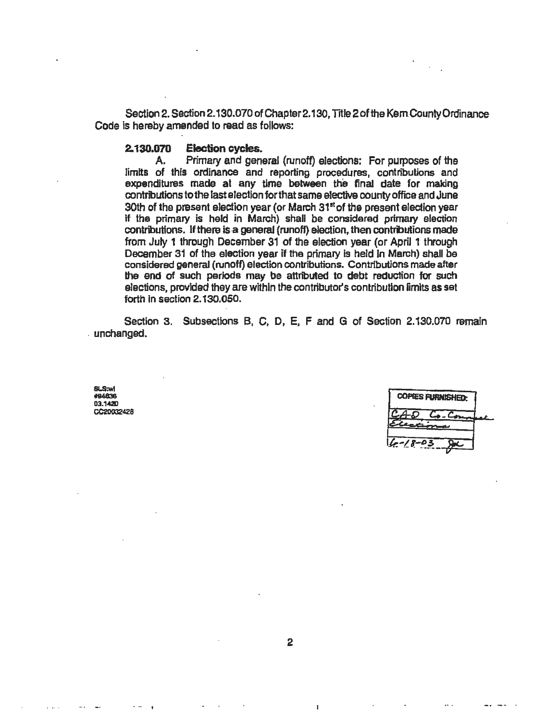Section 2. Section 2.130.070 of Chapter2.130, Title 2 of the Kem.County Ordinance Code is hereby amended to read as follows:

# 2.130.070 Election cycles.<br>A. Primary and gene

Primary and general (runoff) elections: For purposes of the limits of this ordinance and reporting procedures, contributions and expenditures made at any time between the final date for making contributions to the last election for that same elective counfy office and June 30th of the present election year (or March  $31<sup>st</sup>$  of the present election year If the primary is held in March) shall be considered primary election contributions. If there is a general (runoff) election, then contributions made from July 1 through December 31 of the election year (or April 1 through December 31 of the election year if the primary is held in March) shall be considered general (runoff) election contributions. Contributions made after the end of such periods may be attributed to debt reduction for such elections, provided they are within the contributor's contribution limits as set forth in section 2.130.050.

Section 3. Subsections B, C, D, E, F and G of Section 2.130.070 remain . unchanged.

SLS:wt iHl4836 03.1420 CC20032428

.. .. '

| <b>COPIES FURNISHED:</b> |  |
|--------------------------|--|
| ہ ت                      |  |
| 1 д                      |  |

-· -- .

 $\mathbf{I}$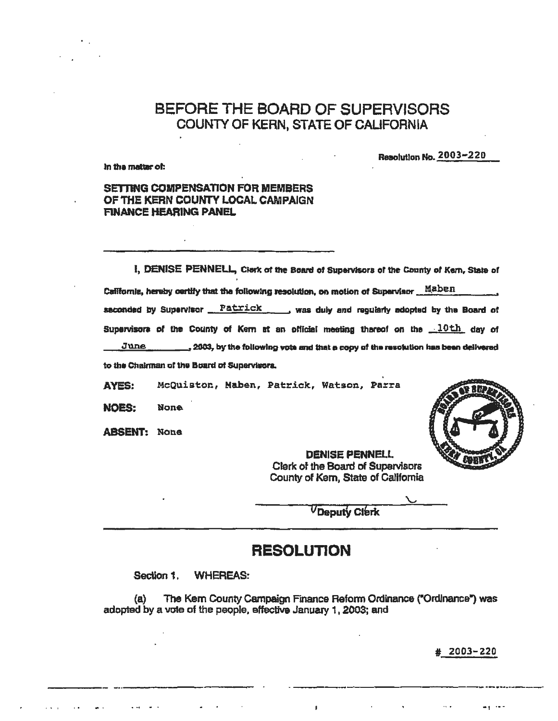BEFORE THE BOARD OF SUPERVISORS COUNTY OF KERN, STATE OF CALIFORNIA

In the matter of:

Resolution No. 2003-220

#### **SETTING COMPENSATION FOR MEMBERS** OF THE KERN COUNTY LOCAL CAMPAIGN **FINANCE HEARING PANEL**

I. DENISE PENNELL, Clerk of the Board of Supervisors of the County of Kern, State of California, hereby certify that the following resolution, on motion of Supervisor Maben seconded by Supervisor Patrick was duly and regularly edopted by the Board of Supervisors of the County of Kern at an official meeting thereof on the 10th day of June \_, 2003, by the following vote and that a copy of the resolution has been delivered to the Chairman of the Board of Supervisors.

**AYES:** McQuiston, Maben, Patrick, Watson, Parra

**NOES: None** 

**ABSENT: None** 



**DENISE PENNELL** Clerk of the Board of Supervisors County of Kern, State of California

UDeputy Clerk

### **RESOLUTION**

**WHEREAS:** Section 1.

The Kem County Campaign Finance Reform Ordinance ("Ordinance") was (a) adopted by a vote of the people, effective January 1, 2003; and

 $\mathbf{I}$ 

 $# 2003 - 220$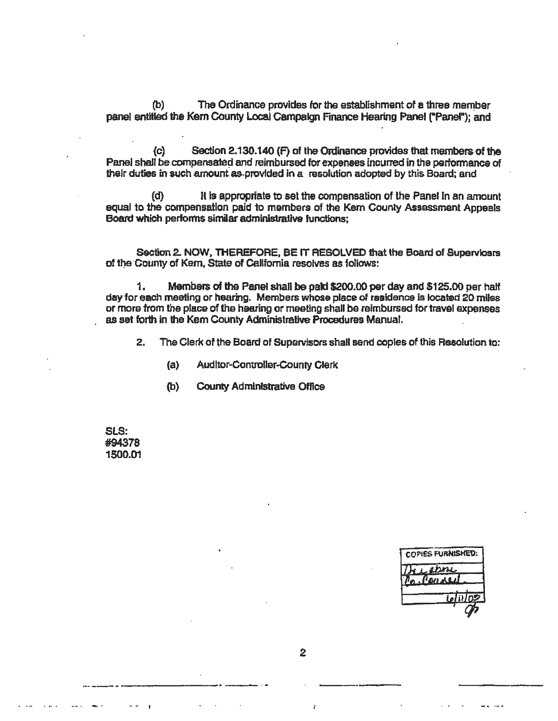The Ordinance provides for the establishment of a three member  $(b)$ panel entitled the Kern County Local Campalon Finance Hearing Panel ("Panel"); and

 $\mathbf{c}$ Section 2.130.140 (F) of the Ordinance provides that members of the Panel shall be compensated and reimbursed for expenses incurred in the performance of their duties in such amount as provided in a resolution adopted by this Board; and

It is appropriate to set the compensation of the Panel In an amount  $(d)$ equal to the compensation paid to members of the Kem County Assessment Appeals Board which performs similar administrative functions:

Section 2. NOW, THEREFORE, BE IT RESOLVED that the Board of Superviosrs of the County of Kern, State of California resolves as follows:

Members of the Panel shall be paid \$200.00 per day and \$125.00 per half 1. day for each meeting or hearing. Members whose place of residence is located 20 miles or more from the place of the hearing or meeting shall be reimbursed for travel expenses as set forth in the Kem County Administrative Procedures Manual.

 $2.$ The Clerk of the Board of Supervisors shall send copies of this Resolution to:

- **Auditor-Controller-County Clerk**  $(a)$
- $(b)$ **County Administrative Office**

SLS: #94378 1500.01

| <b>COPIES FURNISHED:</b> |
|--------------------------|
|                          |
| <b>LOURLE</b>            |
| <u>Letitloz</u>          |
|                          |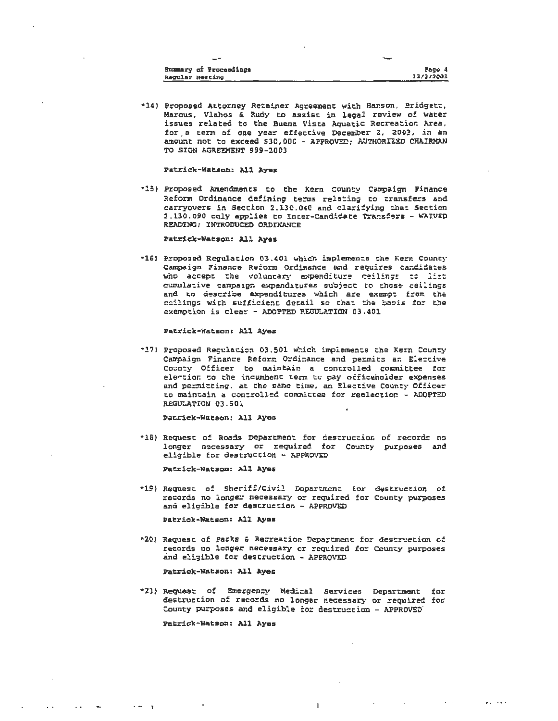| <b>Summary of Proceedings</b> | Page      |
|-------------------------------|-----------|
| Regular Heeting               | 12/2/2003 |

\*14) Proposed Attorney Retainer Agreement with Hanson, Bridgett, Marcus, Vlahos & Rudy to assist in legal review of water issues related to the Buena Vista Aquatic Recreation Area, for a term of one year effective December 2, 2003, in an amount not to exceed \$30,000 - APPROVED: AUTHORIZED CHAIRMAN TO SIGN AGREEMENT 999-2003

Patrick-Watson: All Aves

\*15) Proposed Amendments to the Kern County Campaign Finance Reform Ordinance defining terms relating to transfers and carryovers in Section 2.130.040 and clarifying that Section 2.130.090 only applies to Inter-Candidate Transfers - WAIVED READING; INTRODUCED ORDINANCE

#### Patrick-Watson: All Ayes

"16) Proposed Regulation 03.401 which implements the Kern County Campaign Finance Reform Ordinance and requires candidates who accept the voluntary expenditure ceilings to list cumulative campaign expenditures subject to those cellings and to describe expenditures which are exempt from the ceilings with sufficient detail so that the basis for the exemption is clear - ADOPTED REGULATION 03.401

#### Patrick-Watson: All Ayes

\*17) Proposed Regulation 03.501 which implements the Kern County Campaign Finance Reform Ordinance and permits an Elective County Officer to maintain a controlled committee for election to the incumbent term to pay officeholder expenses and permitting, at the same time, an Elective County Officer to maintain a controlled committee for reelection - ADOPTED REGULATION 03.501

#### Patrick-Watson: All Ayes

\*15) Request of Roads Department for destruction of records no longer necessary or required for County purposes and eligible for destruction - APPROVED

Patrick-Watson: All Ayes

\*19) Request of Sheriff/Civil Department for destruction of records no longer necessary or required for County purposes and eligible for destruction - APPROVED

Patrick-Watson: All Ayes

\*20) Request of Parks & Recreation Department for destruction of records no longer necessary or required for County purposes and eligible for destruction - APPROVED

Patrick-Watson: All Ayes

\*21) Request of Emergenty Medical Sarvices Department for destruction of records no longer necessary or required for County purposes and eligible for destruction - APPROVED

 $\mathbf{I}$ 

Patrick-Watson: All Ayas

 $\cdot$   $\cdot$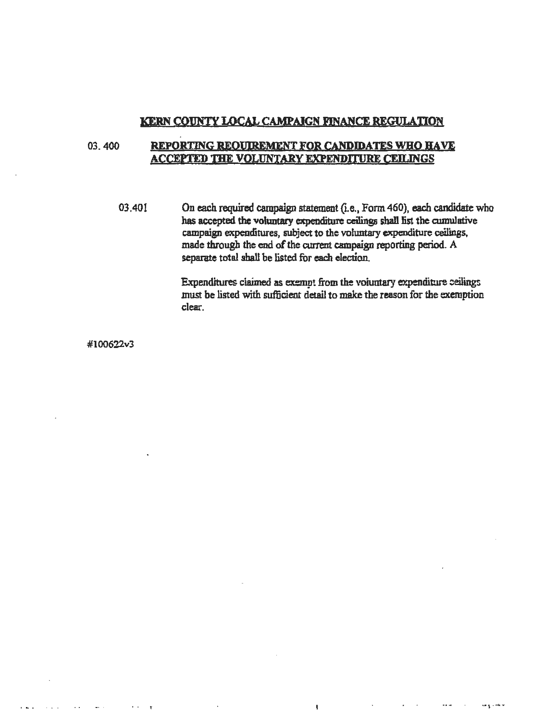#### KERN COJJNTY LOCAL CAMPAIGN FINANCE REGULATION

#### 03. 400 REPORTING REOUIREMENT FOR CANDIDATES WHO HAVE ACCEPTED THE VOLUNIARY EXPENDITURE CEJLINGS

03.401 On each required campaign statement (i.e., Form 460), each candidate who has accepted the voluntary expenditure ceilings shall list the cumulative campaign expenditures, subject to the voluntary expenditure ceilings, made through the end of the current campaign reporting period. A separate total shall be listed for each election.

> Expenditures claimed as exempt from the voiuntary expenditure ceilings must be listed with sufficient detail to make the reason for the exemption clear.

> > $\mathbf{I}$

 $\bar{z}$  ,  $\bar{z}$ 

#l00622v3

• ... t •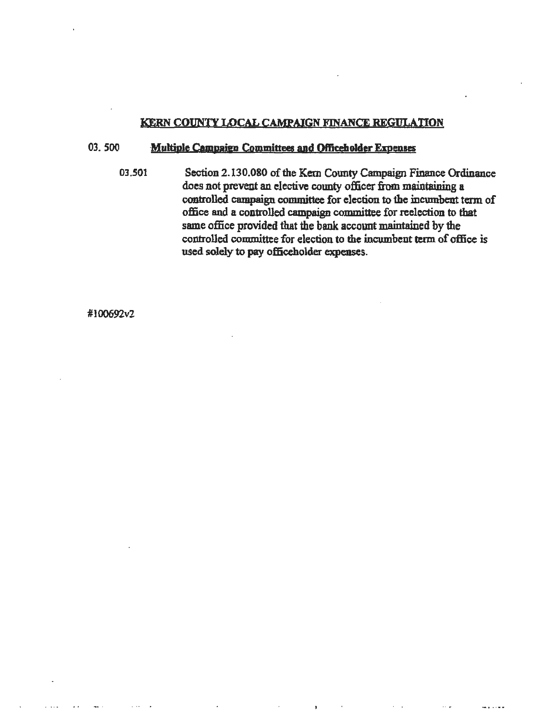#### KERN COVNTY LOCAL CAMPAIGN FINANCE REGULATION

#### 03. 500 **Multiple Campaign Committees and Officeholder Expenses**

03.501 Section 2.130.080 of the Kern County Campaign Finance Ordinance does not prevent an elective county officer from maintaining a controlled campaign committee for election to the incmnbent term of office end a controlled campaign committee for reelection to that same office provided that the bank account maintained by the controlled committee for election to the incumbent term of office is used solely to pay officeholder expenses.

#100692v2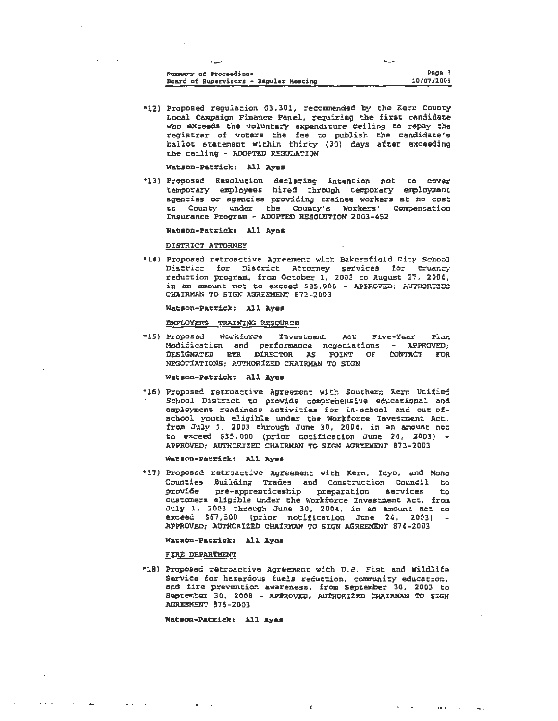| Summary of Proceedings                 | Page 3     |
|----------------------------------------|------------|
| Board of Supervisors - Regular Heating | 10/07/2003 |

\*12) Proposed regulation 03.301, recommended by the Kerr County Local Campaign Finance Panel, requiring the first candidate who exceeds the voluntary expenditure ceiling to repay the<br>registrar of voters the fee to publish the candidate's ballot statement within thirty (30) days after exceeding the ceiling - ADOPTED REGULATION

Watson-Patrick: All Ayes

\*13) Proposed Resolution declaring intention not to cover temporary employees hired through temporary employment agencies or agencies providing trainee workers at no cost to County under the County's Workers' Compensation Insurance Program - ADOPTED RESOLUTION 2003-452

Watson-Patrick: All Ayes

DISTRICT ATTORNEY

\*14) Proposed retroactive Agreement with Bakersfield City School District for District Attorney services for truancy reduction program, from October 1, 2003 to August 27, 2004, in an amount not to exceed 585,000 - APPROVED; AUTHORIZED CHAIRMAN TO SIGN AGREEMENT 673-2003

Watson-Patrick: All Ayes

#### EMPLOYERS' TRAINING RESOURCE

"15) Proposed Workforce Investment Act Five-Year Plan. Modification and performance negotiations - APPROVED; DESIGNATED ETR DIRECTOR AS FOINT OF **CONTACT FOR** NEGOTIATIONS; AUTHORIZED CHAIRMAN TO SIGN

Watson-Patrick: All Ayes

\*16) Proposed retroactive Agreement with Southern Rern Utified School District to provide comprehensive educational and employment readiness activities for in-school and out-ofschool youth eligible under the Workforce Investment Act. from July 1, 2003 through June 30, 2004, in an amount not to exceed \$35,000 (prior notification June 24, 2003) -APPROVED: AUTHORIZED CHAIRMAN TO SIGN AGREEMENT 873-2003

Watson-Patrick: All Ayes

\*17) Proposed retroactive Agreement with Kern, Inyo, and Mono Counties Building Trades and Construction Council to provide pre-apprenticeship preparation services to customers eligible under the Workforce Investment Act. from July 1, 2003 through June 30, 2004, in an amount not to exceed \$57,500 (prior notification June 24, 2003) APPROVED: AUTHORIZED CHAIRMAN TO SIGN AGREEMENT 874-2003

#### Watson-Patrick: All Ayes

FIRE DEPARTMENT

 $\sim$   $\sim$ 

\*18) Proposed retroactive Agreement with U.S. Fish and Wildlife Service for hazardous fuels reduction, community education, and fire prevention awareness, from September 30, 2003 to<br>September 30, 2008 - APPROVED; AUTHORIZED CHAIRMAN TO SIGN AGREEMENT 875-2003

 $\mathbf{r}$ 

 $\sim 10^{-1}$ 

**Contractor** Service Contractor

**Watson-Patrick: All Ayes**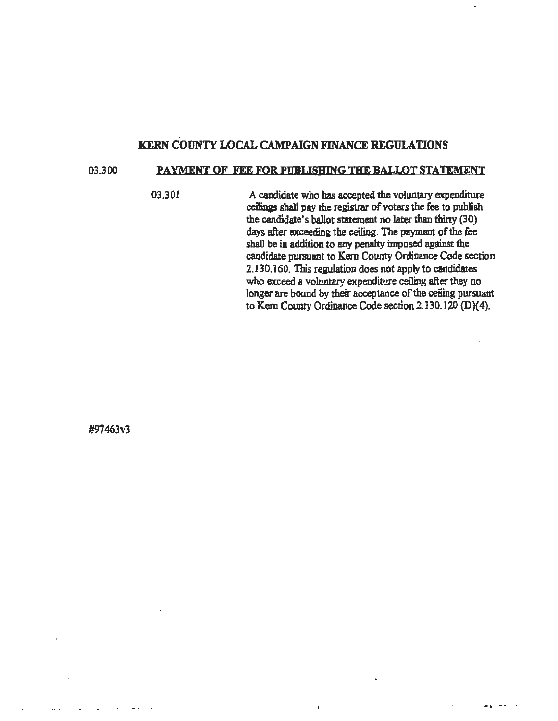#### . KERN COUNTY LOCAL CAMPAIGN FINANCE REGULATIONS

#### 03.300 PAYMENT OF FEE FOR PUBLISHING THE BALLOT STATEMENT

03.301 A candidate who has accepted the voluntary expenditure ceilings shall pay the registrar of voters the fee to publish the candidate's ballot statement no later than thirty (30) days after exceeding the ceiling. The payment of the fee shall be in addition to any penalty imposed against the candidate pursuant to Kem County Ordinance Code section 2.130.160. This regulation does not apply to candidates who exceed a voluntary expenditure ceiling after they no longer are bound by their acceptance of the ceiling pursuant to Kem County Ordinance Code section 2.130.120 (D)(4).

 $\overline{1}$ 

-1 ~· . .

#97463v3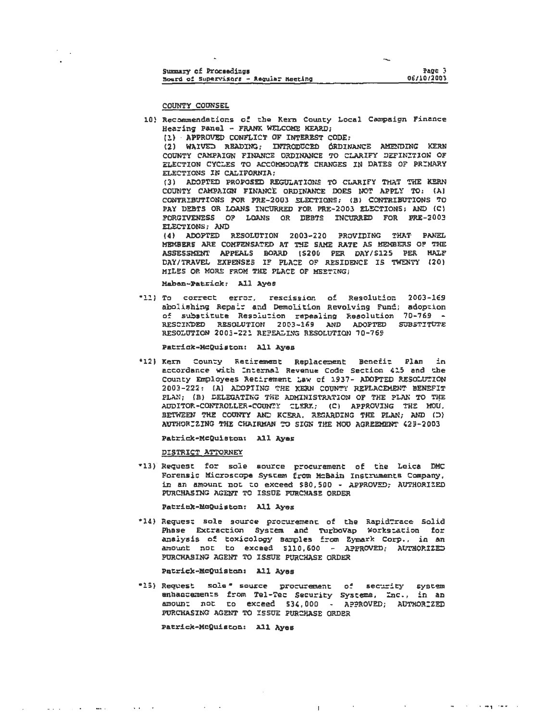| Summary of Proceedings                 | Page 3     |
|----------------------------------------|------------|
| Board of Supervisors - Requier Meeting | 06/10/2003 |

COUNTY COUNSEL

- 10) Recommendations of the Kern County Local Campaign Finance Hearing Panel - FRANK WELCOME HEARD:
	- (1) APPROVED CONFLICT OF INTEREST CODE:

(2) WAIVED READING; INTRODUCED ORDINANCE AMENDING KERN COUNTY CAMPAIGN FINANCE ORDINANCE TO CLARIFY DEFINITION OF ELECTION CYCLES TO ACCOMMODATE CHANGES IN DATES OF PRIMARY ELECTIONS IN CALIFORNIA;

(3) ADOPTED PROPOSED REGULATIONS TO CLARIFY THAT THE KERN COUNTY CAMPAIGN FINANCE ORDINANCE DOES NOT APPLY TO: (A) CONTRIBUTIONS FOR PRE-2003 ELECTIONS: (B) CONTRIBUTIONS TO PAY DEBTS OR LOANS INCURRED FOR PRE-2003 ELECTIONS; AND (C) FORGIVENESS OF LOANS OR DEBTS INCURRED FOR FRE-2003 ELECTIONS: AND

(4) ADOPTED RESOLUTION 2003-220 PROVIDING THAT PANEL MEMBERS ARE COMPENSATED AT THE SAME RATE AS MEMBERS OF THE ASSESSMENT APPEALS BOARD (S200 PER DAY/S125 PER HALF DAY/TRAVEL EXPENSES IF PLACE OF RESIDENCE IS TWENTY (20) MILES OR MORE FROM THE PLACE OF MEETING!

Maban-Patrick: All Ayes

\*11) To correct error, rescission of Resolution 2003-169 abolishing Repair and Demolition Revolving Fund; adoption of substitute Resolution repealing Resolution 70-769 -RESCIADED RESOLUTION 2003-169 AND ADOPTED SUBSTITUTE RESOLUTION 2003-221 REPEALING RESOLUTION 70-769

Patrick-McQuiston: All Ayes

\*12) Kern County Retirement Replacement Benefit Plan in accordance with Internal Revenue Code Section 415 and the County Employees Retirement Law of 1937- ADOPTED RESOLUTION 2003-222: (A) ACOPTING THE KERN COUNTY REPLACEMENT BENEFIT PLAN: (B) DELEGATING THE ADMINISTRATION OF THE PLAN TO THE AUDITOR-CONTROLLER-COUNTY CLERK; (C) APPROVING THE MOU. BETWEEN THE COUNTY AND KCERA. REGARDING THE PLAN; AND (D) AUTHORIZING THE CHAIRMAN TO SIGN THE MOU AGREEMENT 423-2003

Patrick-McQuiston: All Aves

DISTRICT ATTORNEY

\*13) Request for sole aource procurement of the Leica DMC Forensic Microscope System from McBain Instruments Company, in an amount not to exceed \$80,500 - APPROVED; AUTHORIZED PURCHASING AGENT TO ISSUE PURCHASE ORDER

Patrick-McQuiston: All Ayes

\*14) Request sole source procurement of the RapidTrace Solid Phase Extraction System and TurboVap Workstation for analysis of toxicology samples from Eymark Corp., in an amount not to exceed \$110,600 - APPROVED; AUTHORIZED PURCHASING AGENT TO ISSUE PURCHASE ORDER

Patrick-McQuiston: All Ayes

\*15) Request sole \* source procurement of security system enhancements from Tel-Tec Security Systems, Inc., in an amount not to exceed \$34,000 - APPROVED; AUTHORIZED PURCHASING AGENT TO ISSUE PURCHASE ORDER

والعسب وسندانه المناسب المنادي والمنادر والمنادر والمنابي

Patrick-McQuiston: All Ayes

فالفقار والمساريعين ويتشا